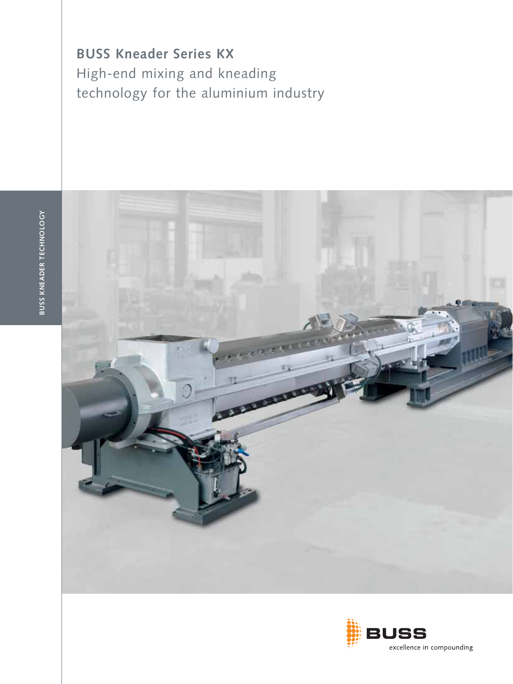**BUSS Kneader Series KX** High-end mixing and kneading technology for the aluminium industry



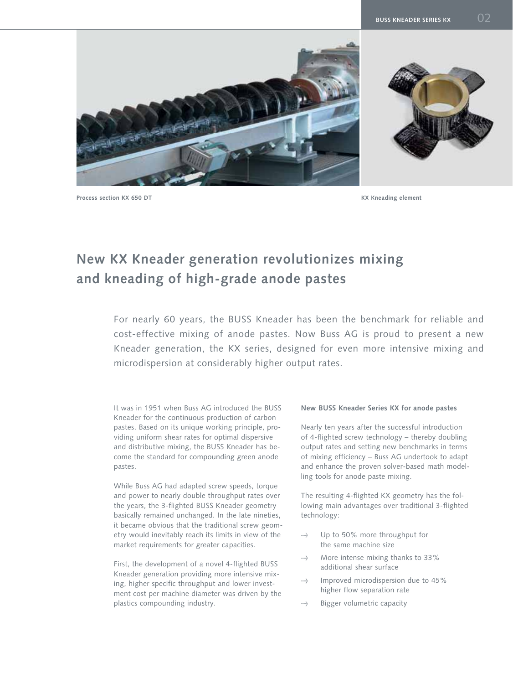

**Process section KX 650 DT KX Kneading element**

# **New KX Kneader generation revolutionizes mixing and kneading of high-grade anode pastes**

For nearly 60 years, the BUSS Kneader has been the benchmark for reliable and cost-effective mixing of anode pastes. Now Buss AG is proud to present a new Kneader generation, the KX series, designed for even more intensive mixing and microdispersion at considerably higher output rates.

It was in 1951 when Buss AG introduced the BUSS Kneader for the continuous production of carbon pastes. Based on its unique working principle, providing uniform shear rates for optimal dispersive and distributive mixing, the BUSS Kneader has become the standard for compounding green anode pastes.

While Buss AG had adapted screw speeds, torque and power to nearly double throughput rates over the years, the 3-flighted BUSS Kneader geometry basically remained unchanged. In the late nineties, it became obvious that the traditional screw geometry would inevitably reach its limits in view of the market requirements for greater capacities.

First, the development of a novel 4-flighted BUSS Kneader generation providing more intensive mixing, higher specific throughput and lower investment cost per machine diameter was driven by the plastics compounding industry.

#### **New BUSS Kneader Series KX for anode pastes**

Nearly ten years after the successful introduction of 4-flighted screw technology – thereby doubling output rates and setting new benchmarks in terms of mixing efficiency – Buss AG undertook to adapt and enhance the proven solver-based math modelling tools for anode paste mixing.

The resulting 4-flighted KX geometry has the following main advantages over traditional 3-flighted technology:

- $\rightarrow$  Up to 50% more throughput for the same machine size
- $\Rightarrow$  More intense mixing thanks to 33% additional shear surface
- $\rightarrow$  Improved microdispersion due to 45% higher flow separation rate
- $\Rightarrow$  Bigger volumetric capacity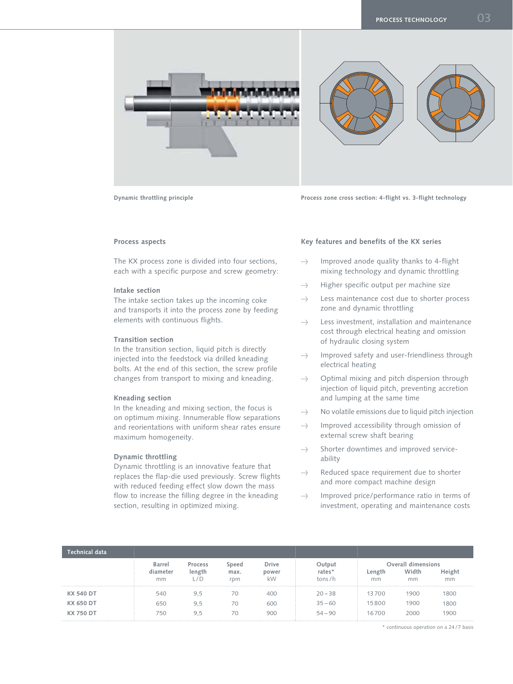

**Dynamic throttling principle Process zone cross section: 4-flight vs. 3-flight technology**

# **Process aspects**

The KX process zone is divided into four sections, each with a specific purpose and screw geometry:

#### **Intake section**

The intake section takes up the incoming coke and transports it into the process zone by feeding elements with continuous flights.

#### **Transition section**

In the transition section, liquid pitch is directly injected into the feedstock via drilled kneading bolts. At the end of this section, the screw profile changes from transport to mixing and kneading.

#### **Kneading section**

In the kneading and mixing section, the focus is on optimum mixing. Innumerable flow separations and reorientations with uniform shear rates ensure maximum homogeneity.

#### **Dynamic throttling**

Dynamic throttling is an innovative feature that replaces the flap-die used previously. Screw flights with reduced feeding effect slow down the mass flow to increase the filling degree in the kneading section, resulting in optimized mixing.

# **Key features and benefits of the KX series**

- $\Rightarrow$  Improved anode quality thanks to 4-flight mixing technology and dynamic throttling
- $\rightarrow$  Higher specific output per machine size
- $\Rightarrow$  Less maintenance cost due to shorter process zone and dynamic throttling
- $\Rightarrow$  Less investment, installation and maintenance cost through electrical heating and omission of hydraulic closing system
- $\Rightarrow$  Improved safety and user-friendliness through electrical heating
- $\rightarrow$  Optimal mixing and pitch dispersion through injection of liquid pitch, preventing accretion and lumping at the same time
- $\rightarrow$  No volatile emissions due to liquid pitch injection
- $\rightarrow$  Improved accessibility through omission of external screw shaft bearing
- $\Rightarrow$  Shorter downtimes and improved serviceability
- $\Rightarrow$  Reduced space requirement due to shorter and more compact machine design
- $\Rightarrow$  Improved price/performance ratio in terms of investment, operating and maintenance costs

| Technical data   |                                 |                   |                      |                             |                            |              |                                   |              |
|------------------|---------------------------------|-------------------|----------------------|-----------------------------|----------------------------|--------------|-----------------------------------|--------------|
|                  | <b>Barrel</b><br>diameter<br>mm | Process<br>length | Speed<br>max.<br>rpm | <b>Drive</b><br>power<br>kW | Output<br>rates*<br>tons/h | Length<br>mm | Overall dimensions<br>Width<br>mm | Height<br>mm |
| <b>KX 540 DT</b> | 540                             | 9.5               | 70                   | 400                         | $20 - 38$                  | 13700        | 1900                              | 1800         |
| KX 650 DT        | 650                             | 9.5               | 70                   | 600                         | $35 - 60$                  | 15800        | 1900                              | 1800         |
| <b>KX750DT</b>   | 750                             | 9.5               | 70                   | 900                         | $54 - 90$                  | 16700        | 2000                              | 1900         |

\* continuous operation on a 24 / 7 basis